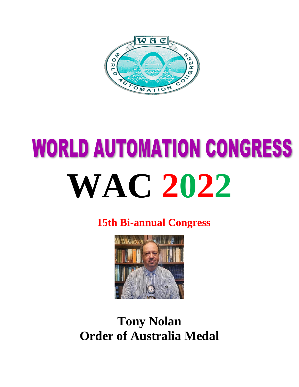

# **WORLD AUTOMATION CONGRESS WAC 2022**

**15th Bi-annual Congress**



## **Tony Nolan Order of Australia Medal**